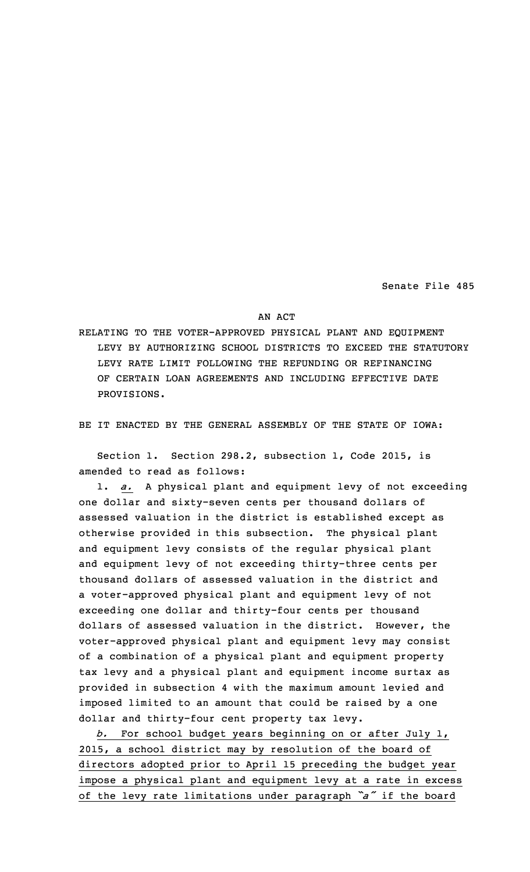Senate File 485

## AN ACT

RELATING TO THE VOTER-APPROVED PHYSICAL PLANT AND EQUIPMENT LEVY BY AUTHORIZING SCHOOL DISTRICTS TO EXCEED THE STATUTORY LEVY RATE LIMIT FOLLOWING THE REFUNDING OR REFINANCING OF CERTAIN LOAN AGREEMENTS AND INCLUDING EFFECTIVE DATE PROVISIONS.

BE IT ENACTED BY THE GENERAL ASSEMBLY OF THE STATE OF IOWA:

Section 1. Section 298.2, subsection 1, Code 2015, is amended to read as follows:

1. *a.* <sup>A</sup> physical plant and equipment levy of not exceeding one dollar and sixty-seven cents per thousand dollars of assessed valuation in the district is established except as otherwise provided in this subsection. The physical plant and equipment levy consists of the regular physical plant and equipment levy of not exceeding thirty-three cents per thousand dollars of assessed valuation in the district and <sup>a</sup> voter-approved physical plant and equipment levy of not exceeding one dollar and thirty-four cents per thousand dollars of assessed valuation in the district. However, the voter-approved physical plant and equipment levy may consist of <sup>a</sup> combination of <sup>a</sup> physical plant and equipment property tax levy and <sup>a</sup> physical plant and equipment income surtax as provided in subsection 4 with the maximum amount levied and imposed limited to an amount that could be raised by <sup>a</sup> one dollar and thirty-four cent property tax levy.

*b.* For school budget years beginning on or after July 1, 2015, <sup>a</sup> school district may by resolution of the board of directors adopted prior to April 15 preceding the budget year impose <sup>a</sup> physical plant and equipment levy at <sup>a</sup> rate in excess of the levy rate limitations under paragraph *"a"* if the board